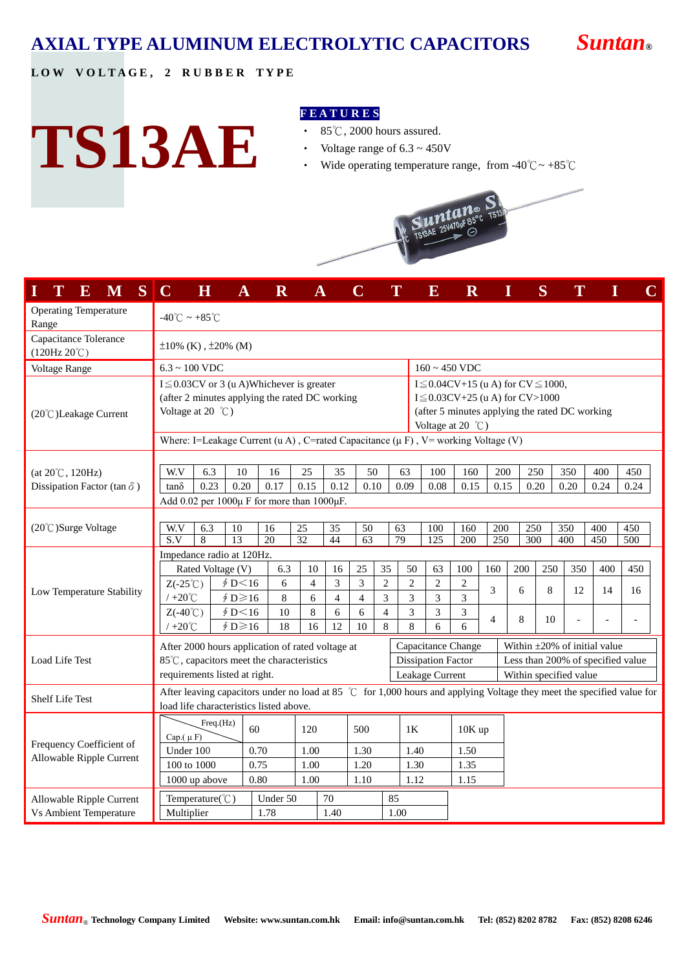# **AXIAL TYPE ALUMINUM ELECTROLYTIC CAPACITORS** *Suntan***®**

## **L O W V O L T A G E , 2 R U B B E R T Y P E**

**TS13AE**

#### **F E A T U R E S**

- ‧ 85℃, 2000 hours assured.
- Voltage range of  $6.3 \sim 450V$
- Wide operating temperature range, from -40 $^{\circ}$ C ~ +85 $^{\circ}$ C



| S<br>Т<br>$\bf{E}$<br>M                        | $\mathbf C$<br>$\overline{\mathbf{H}}$                                                                                                                                                                                                                                                                   |                   | $\mathbf R$  |                |                          |                       | T              |                           | $\overline{\mathbf{E}}$ | $\mathbf R$    |                                   | I                                  | S   |            |            | C          |
|------------------------------------------------|----------------------------------------------------------------------------------------------------------------------------------------------------------------------------------------------------------------------------------------------------------------------------------------------------------|-------------------|--------------|----------------|--------------------------|-----------------------|----------------|---------------------------|-------------------------|----------------|-----------------------------------|------------------------------------|-----|------------|------------|------------|
| <b>Operating Temperature</b><br>Range          | $-40^{\circ}$ C ~ +85 $^{\circ}$ C                                                                                                                                                                                                                                                                       |                   |              |                |                          |                       |                |                           |                         |                |                                   |                                    |     |            |            |            |
| Capacitance Tolerance<br>$(120Hz 20^{\circ}C)$ | $\pm 10\%$ (K), $\pm 20\%$ (M)                                                                                                                                                                                                                                                                           |                   |              |                |                          |                       |                |                           |                         |                |                                   |                                    |     |            |            |            |
| Voltage Range                                  | $6.3 \sim 100$ VDC                                                                                                                                                                                                                                                                                       |                   |              |                |                          |                       |                |                           | $160 \sim 450$ VDC      |                |                                   |                                    |     |            |            |            |
| $(20^{\circ}$ C) Leakage Current               | $I \leq 0.03$ CV or 3 (u A)Whichever is greater<br>I $\leq$ 0.04CV+15 (u A) for CV $\leq$ 1000,<br>(after 2 minutes applying the rated DC working<br>$I \leq 0.03CV+25$ (u A) for CV>1000<br>Voltage at $20^{\circ}$ C)<br>(after 5 minutes applying the rated DC working<br>Voltage at 20 $^{\circ}$ C) |                   |              |                |                          |                       |                |                           |                         |                |                                   |                                    |     |            |            |            |
|                                                | Where: I=Leakage Current (u A), C=rated Capacitance ( $\mu$ F), V= working Voltage (V)                                                                                                                                                                                                                   |                   |              |                |                          |                       |                |                           |                         |                |                                   |                                    |     |            |            |            |
| $(at 20^{\circ}C, 120 Hz)$                     | W.V<br>6.3                                                                                                                                                                                                                                                                                               | 10                | 16           | 25             | 35                       | 50                    |                | 63                        | 100                     | 160            | 200                               |                                    | 250 | 350        | 400        | 450        |
| Dissipation Factor (tan $\delta$ )             | 0.23<br>tanδ                                                                                                                                                                                                                                                                                             | 0.20              | 0.17         | 0.15           | 0.12                     | 0.10                  |                | 0.09                      | 0.08                    | 0.15           | 0.15                              | 0.20                               |     | 0.20       | 0.24       | 0.24       |
|                                                | Add $0.02$ per $1000\mu$ F for more than $1000\mu$ F.                                                                                                                                                                                                                                                    |                   |              |                |                          |                       |                |                           |                         |                |                                   |                                    |     |            |            |            |
|                                                |                                                                                                                                                                                                                                                                                                          |                   |              |                |                          |                       |                |                           |                         |                |                                   |                                    |     |            |            |            |
| (20℃)Surge Voltage                             | $\overline{W.V}$<br>6.3<br>S.V<br>8                                                                                                                                                                                                                                                                      | 10<br>13          | 16<br>20     | 25<br>32       | 35<br>44                 | 50<br>$\overline{63}$ | 63<br>79       |                           | 100<br>$\overline{125}$ | 160<br>200     | 200<br>250                        | 250<br>$\overline{300}$            |     | 350<br>400 | 400<br>450 | 450<br>500 |
|                                                | Impedance radio at 120Hz.                                                                                                                                                                                                                                                                                |                   |              |                |                          |                       |                |                           |                         |                |                                   |                                    |     |            |            |            |
|                                                |                                                                                                                                                                                                                                                                                                          | Rated Voltage (V) | 6.3          | 10             | 16                       | 25                    | 35             | 50                        | 63                      | 100            | 160                               | 200                                | 250 | 350        | 400        | 450        |
|                                                | $Z(-25^{\circ}\mathrm{C})$                                                                                                                                                                                                                                                                               | \$D<16            | 6            | $\overline{4}$ | 3                        | 3                     | $\mathfrak{2}$ | $\overline{2}$            | $\overline{c}$          | $\overline{c}$ | 3                                 | 6                                  | 8   | 12         | 14         | 16         |
| Low Temperature Stability                      | $/ +20^{\circ}C$                                                                                                                                                                                                                                                                                         | $$D \ge 16$       | $8\,$        | 6              | $\overline{\mathcal{L}}$ | 4                     | 3              | 3                         | 3                       | 3              |                                   |                                    |     |            |            |            |
|                                                | $Z(-40^{\circ}\mathrm{C})$                                                                                                                                                                                                                                                                               | \$D<16            | 10           | 8              | 6                        | 6                     | $\overline{4}$ | 3                         | 3                       | 3              | $\overline{4}$                    | $\,8\,$                            | 10  |            | L          |            |
|                                                | $/ +20^{\circ}C$                                                                                                                                                                                                                                                                                         | $\oint D \ge 16$  | 18           | 16             | 12                       | 10                    | 8              | 8                         | 6                       | 6              |                                   |                                    |     |            |            |            |
|                                                | After 2000 hours application of rated voltage at                                                                                                                                                                                                                                                         |                   |              |                |                          |                       |                |                           | Capacitance Change      |                |                                   | Within $\pm 20\%$ of initial value |     |            |            |            |
| Load Life Test                                 | 85℃, capacitors meet the characteristics                                                                                                                                                                                                                                                                 |                   |              |                |                          |                       |                | <b>Dissipation Factor</b> |                         |                | Less than 200% of specified value |                                    |     |            |            |            |
|                                                | requirements listed at right.                                                                                                                                                                                                                                                                            |                   |              |                |                          |                       |                |                           | Leakage Current         |                |                                   | Within specified value             |     |            |            |            |
| <b>Shelf Life Test</b>                         | After leaving capacitors under no load at 85 $\degree$ C for 1,000 hours and applying Voltage they meet the specified value for<br>load life characteristics listed above.                                                                                                                               |                   |              |                |                          |                       |                |                           |                         |                |                                   |                                    |     |            |            |            |
|                                                | Freq.(Hz)<br>60<br>120<br>Cap. $(\mu F)$                                                                                                                                                                                                                                                                 |                   |              |                |                          | 500                   |                | 1K                        | 10K up                  |                |                                   |                                    |     |            |            |            |
| Frequency Coefficient of                       | Under 100                                                                                                                                                                                                                                                                                                | 0.70              |              | 1.00           |                          | 1.30                  |                |                           | 1.40<br>1.50            |                |                                   |                                    |     |            |            |            |
| Allowable Ripple Current                       | 100 to 1000                                                                                                                                                                                                                                                                                              |                   | 0.75<br>1.00 |                |                          | 1.20                  |                | 1.30                      |                         | 1.35           |                                   |                                    |     |            |            |            |
|                                                | 1000 up above                                                                                                                                                                                                                                                                                            |                   | 0.80         | 1.00           |                          | 1.10                  |                | 1.12                      |                         | 1.15           |                                   |                                    |     |            |            |            |
| Allowable Ripple Current                       | Temperature(°C)                                                                                                                                                                                                                                                                                          |                   | Under 50     |                | 70                       |                       | 85             |                           |                         |                |                                   |                                    |     |            |            |            |
| <b>Vs Ambient Temperature</b>                  | Multiplier                                                                                                                                                                                                                                                                                               |                   | 1.78         |                | 1.40                     |                       | 1.00           |                           |                         |                |                                   |                                    |     |            |            |            |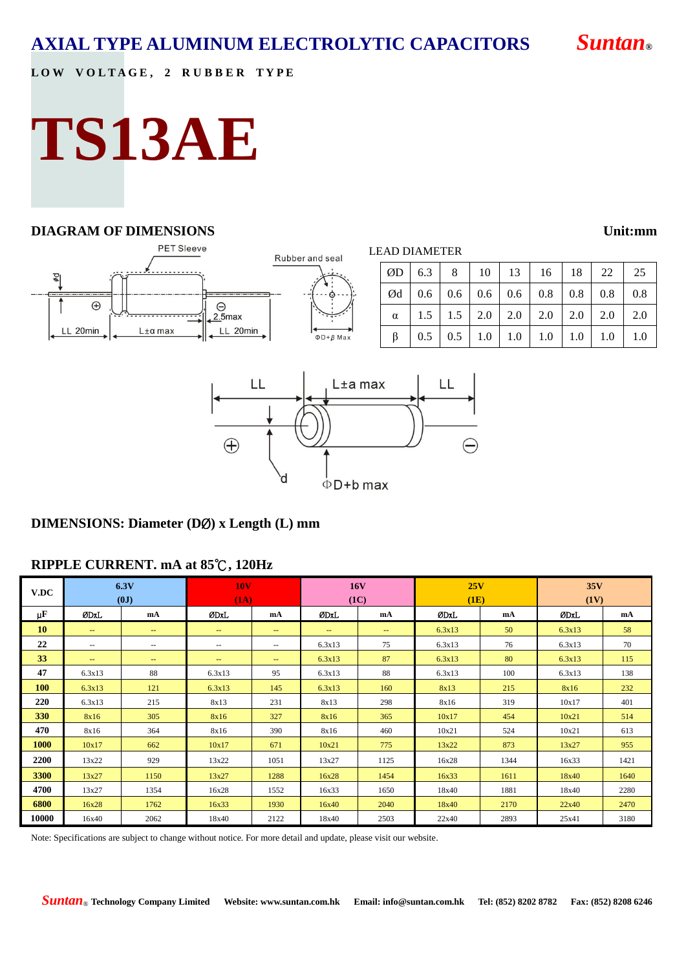**L O W V O L T A G E , 2 R U B B E R T Y P E**

# **TS13AE**

### **DIAGRAM OF DIMENSIONS Unit:mm**

#### **PET Sleeve** LEAD DIAMETER Rubber and seal ØD 6.3 8 10 13 16 18 22 25 фd  $\varnothing$ d | 0.6 | 0.6 | 0.6 | 0.6 | 0.8 | 0.8 | 0.8 | 0.8  $\bigoplus$  $\Theta$  $\alpha$  | 1.5 | 1.5 | 2.0 | 2.0 | 2.0 | 2.0 | 2.0 | 2.0  $2.5<sub>max</sub>$ LL 20min  $L \pm \alpha$  max LL 20min  $\Phi$ D+ $\beta$  Max β | 0.5 | 0.5 | 1.0 | 1.0 | 1.0 | 1.0 | 1.0 | 1.0 LL LL L±a max  $\bigoplus$ 'n  $\Phi$ D+b max

## **DIMENSIONS: Diameter (D**Ø**) x Length (L) mm**

## **RIPPLE CURRENT. mA at 85**℃**, 120Hz**

| V.DC       | 6.3V<br>(0J)             |                          | <b>10V</b><br>(1A) |                   | <b>16V</b><br>(1C)       |      | 25V<br>(1E) |      | 35V<br>(1V) |      |
|------------|--------------------------|--------------------------|--------------------|-------------------|--------------------------|------|-------------|------|-------------|------|
| μF         | <b>ØDxL</b>              | mA                       | ØDxL               | mA                | ØDxL                     | mA   | ØDxL        | mA   | ØDxL        | mA   |
| <b>10</b>  | $\qquad \qquad -$        | $\qquad \qquad -$        | $--$               | $\sim$            | $\overline{\phantom{a}}$ | --   | 6.3x13      | 50   | 6.3x13      | 58   |
| 22         | $\overline{\phantom{m}}$ | $\overline{\phantom{m}}$ | $- -$              | $\frac{1}{2}$     | 6.3x13                   | 75   | 6.3x13      | 76   | 6.3x13      | 70   |
| 33         | $\qquad \qquad -$        | $\qquad \qquad -$        | $--$               | $\qquad \qquad -$ | 6.3x13                   | 87   | 6.3x13      | 80   | 6.3x13      | 115  |
| 47         | 6.3x13                   | 88                       | 6.3x13             | 95                | 6.3x13                   | 88   | 6.3x13      | 100  | 6.3x13      | 138  |
| <b>100</b> | 6.3x13                   | 121                      | 6.3x13             | 145               | 6.3x13                   | 160  | 8x13        | 215  | 8x16        | 232  |
| 220        | 6.3x13                   | 215                      | 8x13               | 231               | 8x13                     | 298  | 8x16        | 319  | 10x17       | 401  |
| 330        | 8x16                     | 305                      | 8x16               | 327               | 8x16                     | 365  | 10x17       | 454  | 10x21       | 514  |
| 470        | 8x16                     | 364                      | 8x16               | 390               | 8x16                     | 460  | 10x21       | 524  | 10x21       | 613  |
| 1000       | 10x17                    | 662                      | 10x17              | 671               | 10x21                    | 775  | 13x22       | 873  | 13x27       | 955  |
| 2200       | 13x22                    | 929                      | 13x22              | 1051              | 13x27                    | 1125 | 16x28       | 1344 | 16x33       | 1421 |
| 3300       | 13x27                    | 1150                     | 13x27              | 1288              | 16x28                    | 1454 | 16x33       | 1611 | 18x40       | 1640 |
| 4700       | 13x27                    | 1354                     | 16x28              | 1552              | 16x33                    | 1650 | 18x40       | 1881 | 18x40       | 2280 |
| 6800       | 16x28                    | 1762                     | 16x33              | 1930              | 16x40                    | 2040 | 18x40       | 2170 | 22x40       | 2470 |
| 10000      | 16x40                    | 2062                     | 18x40              | 2122              | 18x40                    | 2503 | 22x40       | 2893 | 25x41       | 3180 |

Note: Specifications are subject to change without notice. For more detail and update, please visit our website.